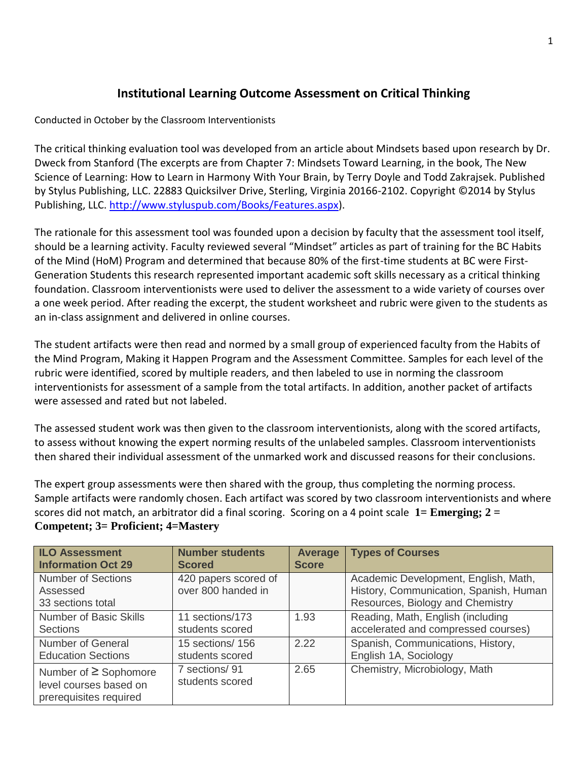# **Institutional Learning Outcome Assessment on Critical Thinking**

Conducted in October by the Classroom Interventionists

The critical thinking evaluation tool was developed from an article about Mindsets based upon research by Dr. Dweck from Stanford (The excerpts are from Chapter 7: Mindsets Toward Learning, in the book, The New Science of Learning: How to Learn in Harmony With Your Brain, by Terry Doyle and Todd Zakrajsek. Published by Stylus Publishing, LLC. 22883 Quicksilver Drive, Sterling, Virginia 20166-2102. Copyright ©2014 by Stylus Publishing, LLC. [http://www.styluspub.com/Books/Features.aspx\)](http://www.styluspub.com/Books/Features.aspx).

The rationale for this assessment tool was founded upon a decision by faculty that the assessment tool itself, should be a learning activity. Faculty reviewed several "Mindset" articles as part of training for the BC Habits of the Mind (HoM) Program and determined that because 80% of the first-time students at BC were First-Generation Students this research represented important academic soft skills necessary as a critical thinking foundation. Classroom interventionists were used to deliver the assessment to a wide variety of courses over a one week period. After reading the excerpt, the student worksheet and rubric were given to the students as an in-class assignment and delivered in online courses.

The student artifacts were then read and normed by a small group of experienced faculty from the Habits of the Mind Program, Making it Happen Program and the Assessment Committee. Samples for each level of the rubric were identified, scored by multiple readers, and then labeled to use in norming the classroom interventionists for assessment of a sample from the total artifacts. In addition, another packet of artifacts were assessed and rated but not labeled.

The assessed student work was then given to the classroom interventionists, along with the scored artifacts, to assess without knowing the expert norming results of the unlabeled samples. Classroom interventionists then shared their individual assessment of the unmarked work and discussed reasons for their conclusions.

The expert group assessments were then shared with the group, thus completing the norming process. Sample artifacts were randomly chosen. Each artifact was scored by two classroom interventionists and where scores did not match, an arbitrator did a final scoring. Scoring on a 4 point scale **1= Emerging; 2 = Competent; 3= Proficient; 4=Mastery**

| <b>ILO Assessment</b>                                                          | <b>Number students</b>                     | <b>Average</b> | <b>Types of Courses</b>                                                                                            |
|--------------------------------------------------------------------------------|--------------------------------------------|----------------|--------------------------------------------------------------------------------------------------------------------|
| <b>Information Oct 29</b>                                                      | <b>Scored</b>                              | <b>Score</b>   |                                                                                                                    |
| <b>Number of Sections</b><br>Assessed<br>33 sections total                     | 420 papers scored of<br>over 800 handed in |                | Academic Development, English, Math,<br>History, Communication, Spanish, Human<br>Resources, Biology and Chemistry |
| <b>Number of Basic Skills</b>                                                  | 11 sections/173                            | 1.93           | Reading, Math, English (including                                                                                  |
| <b>Sections</b>                                                                | students scored                            |                | accelerated and compressed courses)                                                                                |
| Number of General                                                              | 15 sections/ 156                           | 2.22           | Spanish, Communications, History,                                                                                  |
| <b>Education Sections</b>                                                      | students scored                            |                | English 1A, Sociology                                                                                              |
| Number of $\geq$ Sophomore<br>level courses based on<br>prerequisites required | 7 sections/91<br>students scored           | 2.65           | Chemistry, Microbiology, Math                                                                                      |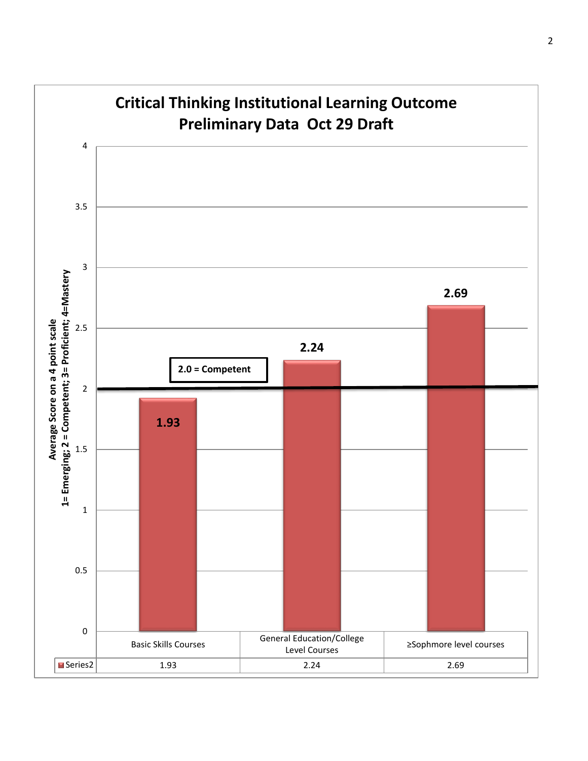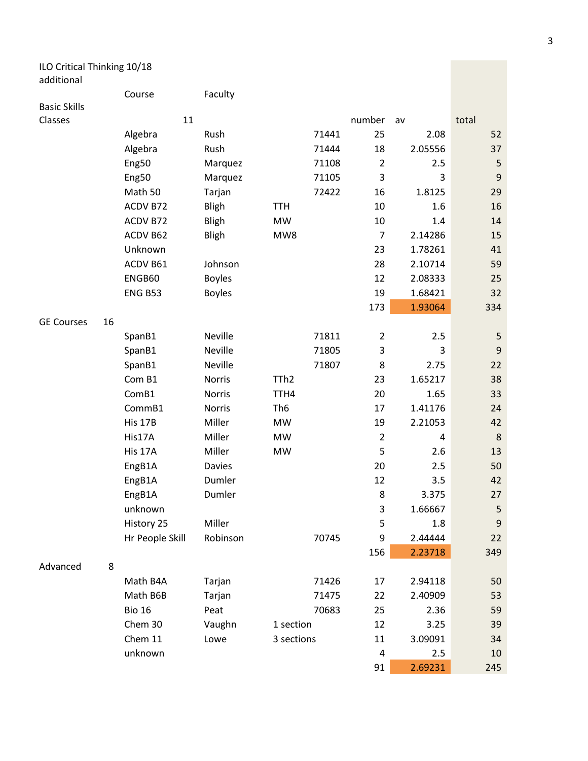### ILO Critical Thinking 10/18 additional

|                     |    | Course          | Faculty       |                  |       |                |         |                  |
|---------------------|----|-----------------|---------------|------------------|-------|----------------|---------|------------------|
| <b>Basic Skills</b> |    |                 |               |                  |       |                |         |                  |
| Classes             |    | 11              |               |                  |       | number         | av      | total            |
|                     |    | Algebra         | Rush          |                  | 71441 | 25             | 2.08    | 52               |
|                     |    | Algebra         | Rush          |                  | 71444 | 18             | 2.05556 | 37               |
|                     |    | Eng50           | Marquez       |                  | 71108 | $\overline{2}$ | 2.5     | 5                |
|                     |    | Eng50           | Marquez       |                  | 71105 | 3              | 3       | $9\,$            |
|                     |    | Math 50         | Tarjan        |                  | 72422 | 16             | 1.8125  | 29               |
|                     |    | ACDV B72        | <b>Bligh</b>  | <b>TTH</b>       |       | 10             | 1.6     | 16               |
|                     |    | ACDV B72        | <b>Bligh</b>  | <b>MW</b>        |       | 10             | 1.4     | 14               |
|                     |    | ACDV B62        | <b>Bligh</b>  | MW8              |       | $\overline{7}$ | 2.14286 | 15               |
|                     |    | Unknown         |               |                  |       | 23             | 1.78261 | 41               |
|                     |    | ACDV B61        | Johnson       |                  |       | 28             | 2.10714 | 59               |
|                     |    | ENGB60          | <b>Boyles</b> |                  |       | 12             | 2.08333 | 25               |
|                     |    | <b>ENG B53</b>  | <b>Boyles</b> |                  |       | 19             | 1.68421 | 32               |
|                     |    |                 |               |                  |       | 173            | 1.93064 | 334              |
| <b>GE Courses</b>   | 16 |                 |               |                  |       |                |         |                  |
|                     |    | SpanB1          | Neville       |                  | 71811 | $\overline{2}$ | 2.5     | 5                |
|                     |    | SpanB1          | Neville       |                  | 71805 | 3              | 3       | $\boldsymbol{9}$ |
|                     |    | SpanB1          | Neville       |                  | 71807 | 8              | 2.75    | 22               |
|                     |    | Com B1          | <b>Norris</b> | TTh <sub>2</sub> |       | 23             | 1.65217 | 38               |
|                     |    | ComB1           | <b>Norris</b> | TTH4             |       | 20             | 1.65    | 33               |
|                     |    | CommB1          | <b>Norris</b> | Th <sub>6</sub>  |       | 17             | 1.41176 | 24               |
|                     |    | His 17B         | Miller        | <b>MW</b>        |       | 19             | 2.21053 | 42               |
|                     |    | His17A          | Miller        | <b>MW</b>        |       | $\overline{2}$ | 4       | 8                |
|                     |    | His 17A         | Miller        | <b>MW</b>        |       | 5              | 2.6     | 13               |
|                     |    | EngB1A          | <b>Davies</b> |                  |       | 20             | 2.5     | 50               |
|                     |    | EngB1A          | Dumler        |                  |       | 12             | 3.5     | 42               |
|                     |    | EngB1A          | Dumler        |                  |       | 8              | 3.375   | 27               |
|                     |    | unknown         |               |                  |       | 3              | 1.66667 | 5                |
|                     |    | History 25      | Miller        |                  |       | 5              | 1.8     | $9\,$            |
|                     |    | Hr People Skill | Robinson      |                  | 70745 | 9              | 2.44444 | 22               |
|                     |    |                 |               |                  |       | 156            | 2.23718 | 349              |
| Advanced            | 8  |                 |               |                  |       |                |         |                  |
|                     |    | Math B4A        | Tarjan        |                  | 71426 | 17             | 2.94118 | 50               |
|                     |    | Math B6B        | Tarjan        |                  | 71475 | 22             | 2.40909 | 53               |
|                     |    | <b>Bio 16</b>   | Peat          |                  | 70683 | 25             | 2.36    | 59               |
|                     |    | Chem 30         | Vaughn        | 1 section        |       | 12             | 3.25    | 39               |
|                     |    | Chem 11         | Lowe          | 3 sections       |       | 11             | 3.09091 | 34               |
|                     |    | unknown         |               |                  |       | 4              | 2.5     | 10               |
|                     |    |                 |               |                  |       | 91             | 2.69231 | 245              |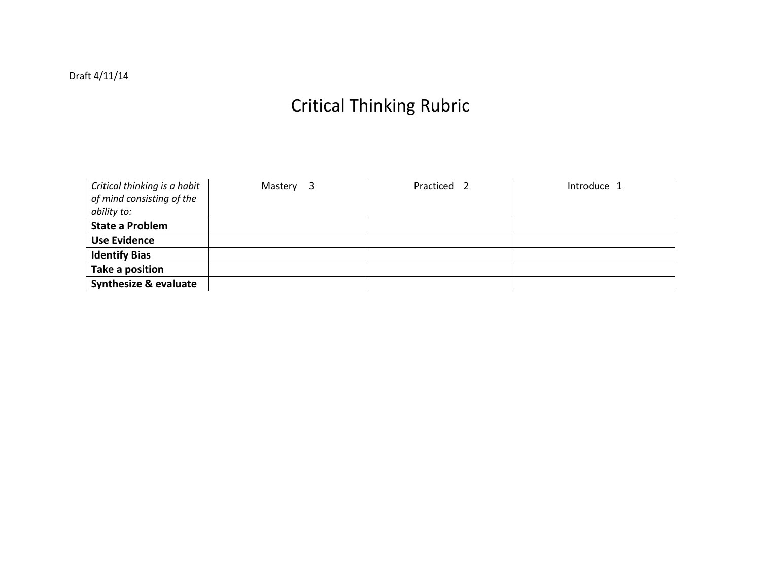| Critical thinking is a habit<br>of mind consisting of the<br>ability to: | Mastery 3 | Practiced | Introduce 1 |
|--------------------------------------------------------------------------|-----------|-----------|-------------|
| <b>State a Problem</b>                                                   |           |           |             |
|                                                                          |           |           |             |
| <b>Use Evidence</b>                                                      |           |           |             |
| <b>Identify Bias</b>                                                     |           |           |             |
| Take a position                                                          |           |           |             |
| <b>Synthesize &amp; evaluate</b>                                         |           |           |             |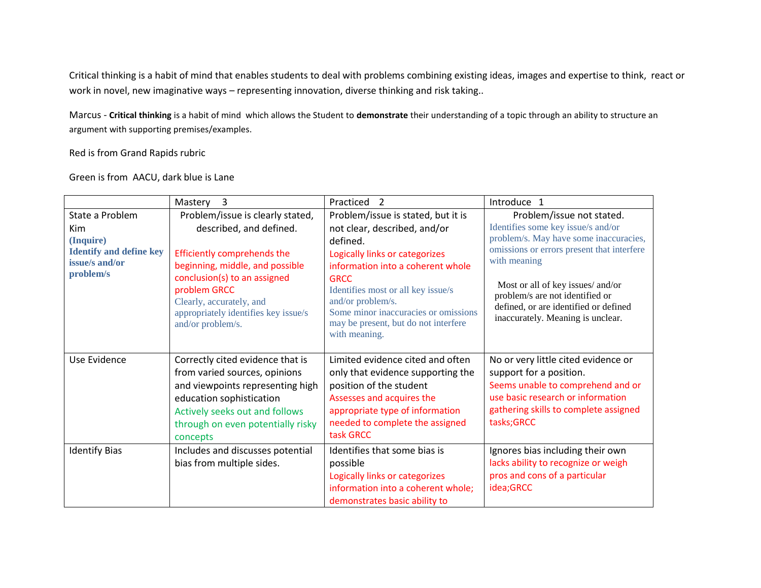Critical thinking is a habit of mind that enables students to deal with problems combining existing ideas, images and expertise to think, react or work in novel, new imaginative ways – representing innovation, diverse thinking and risk taking..

Marcus - **Critical thinking** is a habit of mind which allows the Student to **demonstrate** their understanding of a topic through an ability to structure an argument with supporting premises/examples.

Red is from Grand Rapids rubric

Green is from AACU, dark blue is Lane

|                                                                                   | Mastery<br>3                                                                                                                                                                                                                       | Practiced<br>$\overline{2}$                                                                                                                                                                                                                                                                | Introduce 1                                                                                                                                                                                                                                                                                      |
|-----------------------------------------------------------------------------------|------------------------------------------------------------------------------------------------------------------------------------------------------------------------------------------------------------------------------------|--------------------------------------------------------------------------------------------------------------------------------------------------------------------------------------------------------------------------------------------------------------------------------------------|--------------------------------------------------------------------------------------------------------------------------------------------------------------------------------------------------------------------------------------------------------------------------------------------------|
| State a Problem                                                                   | Problem/issue is clearly stated,                                                                                                                                                                                                   | Problem/issue is stated, but it is                                                                                                                                                                                                                                                         | Problem/issue not stated.                                                                                                                                                                                                                                                                        |
| Kim<br>(Inquire)<br><b>Identify and define key</b><br>issue/s and/or<br>problem/s | described, and defined.<br>Efficiently comprehends the<br>beginning, middle, and possible<br>conclusion(s) to an assigned<br>problem GRCC<br>Clearly, accurately, and<br>appropriately identifies key issue/s<br>and/or problem/s. | not clear, described, and/or<br>defined.<br>Logically links or categorizes<br>information into a coherent whole<br><b>GRCC</b><br>Identifies most or all key issue/s<br>and/or problem/s.<br>Some minor inaccuracies or omissions<br>may be present, but do not interfere<br>with meaning. | Identifies some key issue/s and/or<br>problem/s. May have some inaccuracies,<br>omissions or errors present that interfere<br>with meaning<br>Most or all of key issues/ and/or<br>problem/s are not identified or<br>defined, or are identified or defined<br>inaccurately. Meaning is unclear. |
| Use Evidence                                                                      | Correctly cited evidence that is<br>from varied sources, opinions<br>and viewpoints representing high<br>education sophistication<br>Actively seeks out and follows<br>through on even potentially risky<br>concepts               | Limited evidence cited and often<br>only that evidence supporting the<br>position of the student<br>Assesses and acquires the<br>appropriate type of information<br>needed to complete the assigned<br>task GRCC                                                                           | No or very little cited evidence or<br>support for a position.<br>Seems unable to comprehend and or<br>use basic research or information<br>gathering skills to complete assigned<br>tasks;GRCC                                                                                                  |
| <b>Identify Bias</b>                                                              | Includes and discusses potential<br>bias from multiple sides.                                                                                                                                                                      | Identifies that some bias is<br>possible<br>Logically links or categorizes<br>information into a coherent whole;<br>demonstrates basic ability to                                                                                                                                          | Ignores bias including their own<br>lacks ability to recognize or weigh<br>pros and cons of a particular<br>idea;GRCC                                                                                                                                                                            |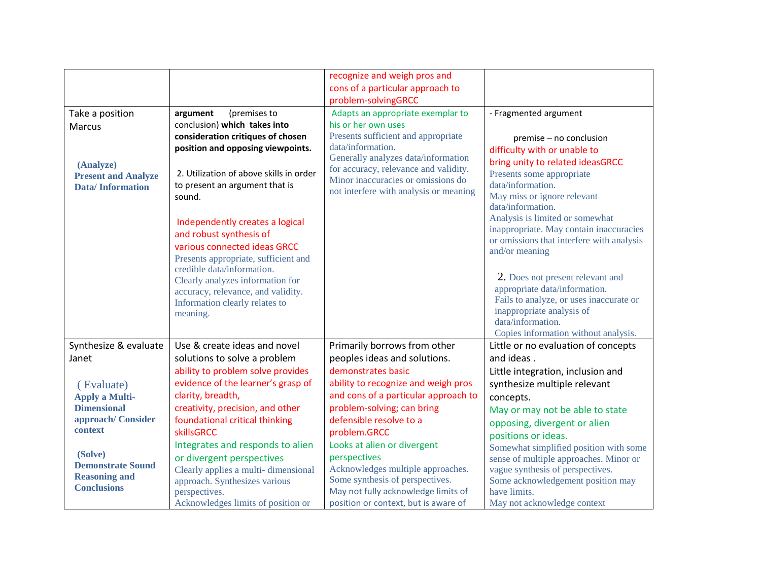|                                            |                                         | recognize and weigh pros and           |                                                                            |
|--------------------------------------------|-----------------------------------------|----------------------------------------|----------------------------------------------------------------------------|
|                                            |                                         | cons of a particular approach to       |                                                                            |
|                                            |                                         | problem-solvingGRCC                    |                                                                            |
|                                            | (premises to<br>argument                | Adapts an appropriate exemplar to      | - Fragmented argument                                                      |
| Take a position                            | conclusion) which takes into            | his or her own uses                    |                                                                            |
| <b>Marcus</b>                              | consideration critiques of chosen       | Presents sufficient and appropriate    |                                                                            |
|                                            | position and opposing viewpoints.       | data/information.                      | premise - no conclusion                                                    |
|                                            |                                         | Generally analyzes data/information    | difficulty with or unable to                                               |
| (Analyze)                                  |                                         | for accuracy, relevance and validity.  | bring unity to related ideasGRCC                                           |
| <b>Present and Analyze</b>                 | 2. Utilization of above skills in order | Minor inaccuracies or omissions do     | Presents some appropriate                                                  |
| <b>Data/Information</b>                    | to present an argument that is          | not interfere with analysis or meaning | data/information.                                                          |
|                                            | sound.                                  |                                        | May miss or ignore relevant                                                |
|                                            |                                         |                                        | data/information.                                                          |
|                                            | Independently creates a logical         |                                        | Analysis is limited or somewhat<br>inappropriate. May contain inaccuracies |
|                                            | and robust synthesis of                 |                                        | or omissions that interfere with analysis                                  |
|                                            | various connected ideas GRCC            |                                        | and/or meaning                                                             |
|                                            | Presents appropriate, sufficient and    |                                        |                                                                            |
|                                            | credible data/information.              |                                        |                                                                            |
|                                            | Clearly analyzes information for        |                                        | 2. Does not present relevant and                                           |
|                                            | accuracy, relevance, and validity.      |                                        | appropriate data/information.<br>Fails to analyze, or uses inaccurate or   |
|                                            | Information clearly relates to          |                                        | inappropriate analysis of                                                  |
|                                            | meaning.                                |                                        | data/information.                                                          |
|                                            |                                         |                                        | Copies information without analysis.                                       |
| Synthesize & evaluate                      | Use & create ideas and novel            | Primarily borrows from other           | Little or no evaluation of concepts                                        |
| Janet                                      | solutions to solve a problem            | peoples ideas and solutions.           | and ideas.                                                                 |
|                                            | ability to problem solve provides       | demonstrates basic                     | Little integration, inclusion and                                          |
| (Evaluate)                                 | evidence of the learner's grasp of      | ability to recognize and weigh pros    | synthesize multiple relevant                                               |
| <b>Apply a Multi-</b>                      | clarity, breadth,                       | and cons of a particular approach to   | concepts.                                                                  |
| <b>Dimensional</b>                         | creativity, precision, and other        | problem-solving; can bring             | May or may not be able to state                                            |
| approach/Consider                          | foundational critical thinking          | defensible resolve to a                | opposing, divergent or alien                                               |
| context                                    | skillsGRCC                              | problem.GRCC                           | positions or ideas.                                                        |
|                                            | Integrates and responds to alien        | Looks at alien or divergent            | Somewhat simplified position with some                                     |
| (Solve)                                    | or divergent perspectives               | perspectives                           | sense of multiple approaches. Minor or                                     |
| <b>Demonstrate Sound</b>                   | Clearly applies a multi-dimensional     | Acknowledges multiple approaches.      | vague synthesis of perspectives.                                           |
| <b>Reasoning and</b><br><b>Conclusions</b> | approach. Synthesizes various           | Some synthesis of perspectives.        | Some acknowledgement position may                                          |
|                                            | perspectives.                           | May not fully acknowledge limits of    | have limits.                                                               |
|                                            | Acknowledges limits of position or      | position or context, but is aware of   | May not acknowledge context                                                |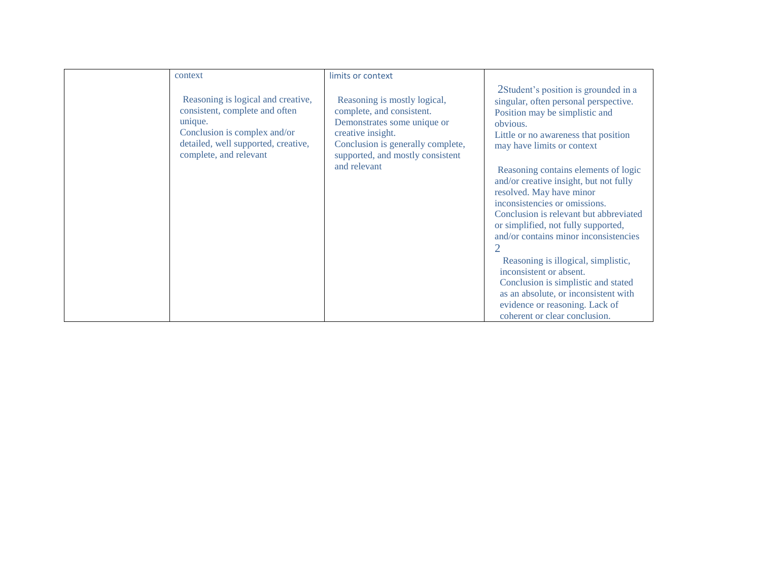| context                                                                                                                                                                          | limits or context                                                                                                                                                                                      |                                                                                                                                                                                                                                                                       |
|----------------------------------------------------------------------------------------------------------------------------------------------------------------------------------|--------------------------------------------------------------------------------------------------------------------------------------------------------------------------------------------------------|-----------------------------------------------------------------------------------------------------------------------------------------------------------------------------------------------------------------------------------------------------------------------|
| Reasoning is logical and creative,<br>consistent, complete and often<br>unique.<br>Conclusion is complex and/or<br>detailed, well supported, creative,<br>complete, and relevant | Reasoning is mostly logical,<br>complete, and consistent.<br>Demonstrates some unique or<br>creative insight.<br>Conclusion is generally complete,<br>supported, and mostly consistent<br>and relevant | 2Student's position is grounded in a<br>singular, often personal perspective.<br>Position may be simplistic and<br>obvious.<br>Little or no awareness that position<br>may have limits or context                                                                     |
|                                                                                                                                                                                  |                                                                                                                                                                                                        | Reasoning contains elements of logic<br>and/or creative insight, but not fully<br>resolved. May have minor<br>inconsistencies or omissions.<br>Conclusion is relevant but abbreviated<br>or simplified, not fully supported,<br>and/or contains minor inconsistencies |
|                                                                                                                                                                                  |                                                                                                                                                                                                        | Reasoning is illogical, simplistic,<br>inconsistent or absent.<br>Conclusion is simplistic and stated<br>as an absolute, or inconsistent with<br>evidence or reasoning. Lack of<br>coherent or clear conclusion.                                                      |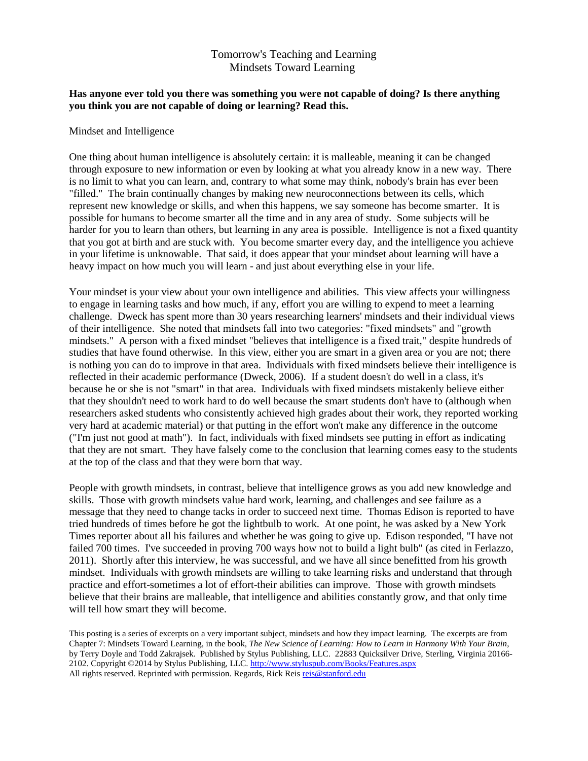## Tomorrow's Teaching and Learning Mindsets Toward Learning

#### **Has anyone ever told you there was something you were not capable of doing? Is there anything you think you are not capable of doing or learning? Read this.**

#### Mindset and Intelligence

One thing about human intelligence is absolutely certain: it is malleable, meaning it can be changed through exposure to new information or even by looking at what you already know in a new way. There is no limit to what you can learn, and, contrary to what some may think, nobody's brain has ever been "filled." The brain continually changes by making new neuroconnections between its cells, which represent new knowledge or skills, and when this happens, we say someone has become smarter. It is possible for humans to become smarter all the time and in any area of study. Some subjects will be harder for you to learn than others, but learning in any area is possible. Intelligence is not a fixed quantity that you got at birth and are stuck with. You become smarter every day, and the intelligence you achieve in your lifetime is unknowable. That said, it does appear that your mindset about learning will have a heavy impact on how much you will learn - and just about everything else in your life.

Your mindset is your view about your own intelligence and abilities. This view affects your willingness to engage in learning tasks and how much, if any, effort you are willing to expend to meet a learning challenge. Dweck has spent more than 30 years researching learners' mindsets and their individual views of their intelligence. She noted that mindsets fall into two categories: "fixed mindsets" and "growth mindsets." A person with a fixed mindset "believes that intelligence is a fixed trait," despite hundreds of studies that have found otherwise. In this view, either you are smart in a given area or you are not; there is nothing you can do to improve in that area. Individuals with fixed mindsets believe their intelligence is reflected in their academic performance (Dweck, 2006). If a student doesn't do well in a class, it's because he or she is not "smart" in that area. Individuals with fixed mindsets mistakenly believe either that they shouldn't need to work hard to do well because the smart students don't have to (although when researchers asked students who consistently achieved high grades about their work, they reported working very hard at academic material) or that putting in the effort won't make any difference in the outcome ("I'm just not good at math"). In fact, individuals with fixed mindsets see putting in effort as indicating that they are not smart. They have falsely come to the conclusion that learning comes easy to the students at the top of the class and that they were born that way.

People with growth mindsets, in contrast, believe that intelligence grows as you add new knowledge and skills. Those with growth mindsets value hard work, learning, and challenges and see failure as a message that they need to change tacks in order to succeed next time. Thomas Edison is reported to have tried hundreds of times before he got the lightbulb to work. At one point, he was asked by a New York Times reporter about all his failures and whether he was going to give up. Edison responded, "I have not failed 700 times. I've succeeded in proving 700 ways how not to build a light bulb" (as cited in Ferlazzo, 2011). Shortly after this interview, he was successful, and we have all since benefitted from his growth mindset. Individuals with growth mindsets are willing to take learning risks and understand that through practice and effort-sometimes a lot of effort-their abilities can improve. Those with growth mindsets believe that their brains are malleable, that intelligence and abilities constantly grow, and that only time will tell how smart they will become.

This posting is a series of excerpts on a very important subject, mindsets and how they impact learning. The excerpts are from Chapter 7: Mindsets Toward Learning, in the book, *The New Science of Learning: How to Learn in Harmony With Your Brain*, by Terry Doyle and Todd Zakrajsek. Published by Stylus Publishing, LLC. 22883 Quicksilver Drive, Sterling, Virginia 20166- 2102. Copyright ©2014 by Stylus Publishing, LLC. [http://www.styluspub.com/Books/Features.aspx](https://owa.kccd.edu/owa/redir.aspx?C=0rmTJQwL6USBd-dr2AbFs9uXgFKiLtEIcE-6hAX_T_V5lCTCn3DYSikp0nxvq5udYxWeprIPp_E.&URL=http%3a%2f%2fwww.styluspub.com%2fBooks%2fFeatures.aspx) All rights reserved. Reprinted with permission. Regards, Rick Reis [reis@stanford.edu](https://owa.kccd.edu/owa/redir.aspx?C=0rmTJQwL6USBd-dr2AbFs9uXgFKiLtEIcE-6hAX_T_V5lCTCn3DYSikp0nxvq5udYxWeprIPp_E.&URL=mailto%3areis%40stanford.edu)